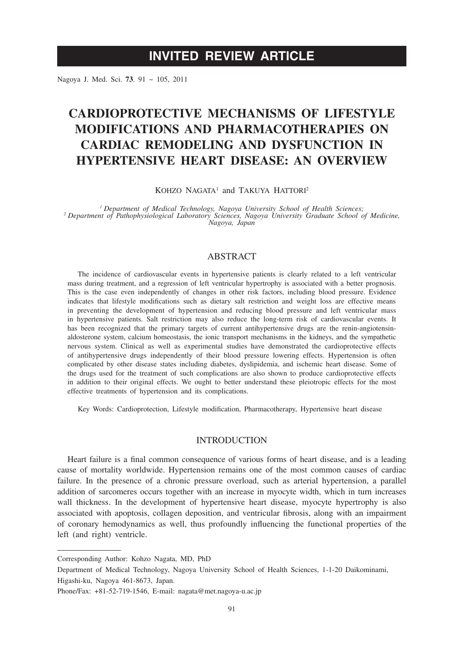# **INVITED REVIEW ARTICLE**

Nagoya J. Med. Sci. **73**. 91 ~ 105, 2011

# **CARDIOPROTECTIVE MECHANISMS OF LIFESTYLE MODIFICATIONS AND PHARMACOTHERAPIES ON CARDIAC REMODELING AND DYSFUNCTION IN HYPERTENSIVE HEART DISEASE: AN OVERVIEW**

#### KOHZO NAGATA<sup>1</sup> and TAKUYA HATTORI<sup>2</sup>

*1 Department of Medical Technology, Nagoya University School of Health Sciences; 2 Department of Pathophysiological Laboratory Sciences, Nagoya University Graduate School of Medicine, Nagoya, Japan*

# ABSTRACT

The incidence of cardiovascular events in hypertensive patients is clearly related to a left ventricular mass during treatment, and a regression of left ventricular hypertrophy is associated with a better prognosis. This is the case even independently of changes in other risk factors, including blood pressure. Evidence indicates that lifestyle modifications such as dietary salt restriction and weight loss are effective means in preventing the development of hypertension and reducing blood pressure and left ventricular mass in hypertensive patients. Salt restriction may also reduce the long-term risk of cardiovascular events. It has been recognized that the primary targets of current antihypertensive drugs are the renin-angiotensinaldosterone system, calcium homeostasis, the ionic transport mechanisms in the kidneys, and the sympathetic nervous system. Clinical as well as experimental studies have demonstrated the cardioprotective effects of antihypertensive drugs independently of their blood pressure lowering effects. Hypertension is often complicated by other disease states including diabetes, dyslipidemia, and ischemic heart disease. Some of the drugs used for the treatment of such complications are also shown to produce cardioprotective effects in addition to their original effects. We ought to better understand these pleiotropic effects for the most effective treatments of hypertension and its complications.

Key Words: Cardioprotection, Lifestyle modification, Pharmacotherapy, Hypertensive heart disease

## INTRODUCTION

Heart failure is a final common consequence of various forms of heart disease, and is a leading cause of mortality worldwide. Hypertension remains one of the most common causes of cardiac failure. In the presence of a chronic pressure overload, such as arterial hypertension, a parallel addition of sarcomeres occurs together with an increase in myocyte width, which in turn increases wall thickness. In the development of hypertensive heart disease, myocyte hypertrophy is also associated with apoptosis, collagen deposition, and ventricular fibrosis, along with an impairment of coronary hemodynamics as well, thus profoundly influencing the functional properties of the left (and right) ventricle.

Corresponding Author: Kohzo Nagata, MD, PhD

Department of Medical Technology, Nagoya University School of Health Sciences, 1-1-20 Daikominami, Higashi-ku, Nagoya 461-8673, Japan.

Phone/Fax: +81-52-719-1546, E-mail: nagata@met.nagoya-u.ac.jp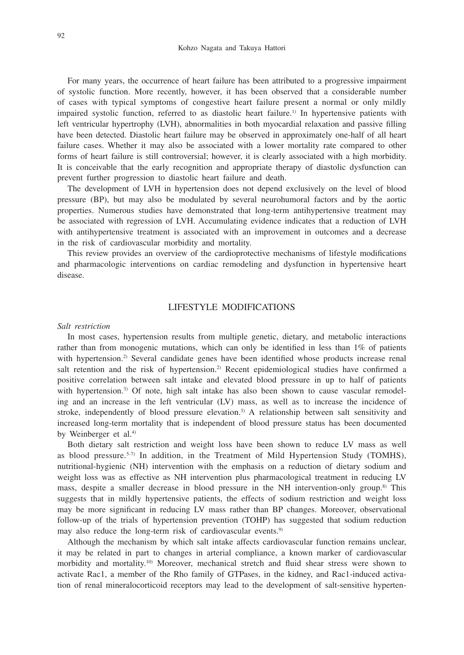For many years, the occurrence of heart failure has been attributed to a progressive impairment of systolic function. More recently, however, it has been observed that a considerable number of cases with typical symptoms of congestive heart failure present a normal or only mildly impaired systolic function, referred to as diastolic heart failure.<sup>1)</sup> In hypertensive patients with left ventricular hypertrophy (LVH), abnormalities in both myocardial relaxation and passive filling have been detected. Diastolic heart failure may be observed in approximately one-half of all heart failure cases. Whether it may also be associated with a lower mortality rate compared to other forms of heart failure is still controversial; however, it is clearly associated with a high morbidity. It is conceivable that the early recognition and appropriate therapy of diastolic dysfunction can prevent further progression to diastolic heart failure and death.

The development of LVH in hypertension does not depend exclusively on the level of blood pressure (BP), but may also be modulated by several neurohumoral factors and by the aortic properties. Numerous studies have demonstrated that long-term antihypertensive treatment may be associated with regression of LVH. Accumulating evidence indicates that a reduction of LVH with antihypertensive treatment is associated with an improvement in outcomes and a decrease in the risk of cardiovascular morbidity and mortality.

This review provides an overview of the cardioprotective mechanisms of lifestyle modifications and pharmacologic interventions on cardiac remodeling and dysfunction in hypertensive heart disease.

# LIFESTYLE MODIFICATIONS

#### *Salt restriction*

In most cases, hypertension results from multiple genetic, dietary, and metabolic interactions rather than from monogenic mutations, which can only be identified in less than 1% of patients with hypertension.<sup>2)</sup> Several candidate genes have been identified whose products increase renal salt retention and the risk of hypertension.<sup>2)</sup> Recent epidemiological studies have confirmed a positive correlation between salt intake and elevated blood pressure in up to half of patients with hypertension.<sup>3)</sup> Of note, high salt intake has also been shown to cause vascular remodeling and an increase in the left ventricular (LV) mass, as well as to increase the incidence of stroke, independently of blood pressure elevation.<sup>3</sup> A relationship between salt sensitivity and increased long-term mortality that is independent of blood pressure status has been documented by Weinberger et al.<sup>4)</sup>

Both dietary salt restriction and weight loss have been shown to reduce LV mass as well as blood pressure.<sup>5-7)</sup> In addition, in the Treatment of Mild Hypertension Study (TOMHS), nutritional-hygienic (NH) intervention with the emphasis on a reduction of dietary sodium and weight loss was as effective as NH intervention plus pharmacological treatment in reducing LV mass, despite a smaller decrease in blood pressure in the NH intervention-only group.<sup>8)</sup> This suggests that in mildly hypertensive patients, the effects of sodium restriction and weight loss may be more significant in reducing LV mass rather than BP changes. Moreover, observational follow-up of the trials of hypertension prevention (TOHP) has suggested that sodium reduction may also reduce the long-term risk of cardiovascular events.<sup>9)</sup>

Although the mechanism by which salt intake affects cardiovascular function remains unclear, it may be related in part to changes in arterial compliance, a known marker of cardiovascular morbidity and mortality.<sup>10)</sup> Moreover, mechanical stretch and fluid shear stress were shown to activate Rac1, a member of the Rho family of GTPases, in the kidney, and Rac1-induced activation of renal mineralocorticoid receptors may lead to the development of salt-sensitive hyperten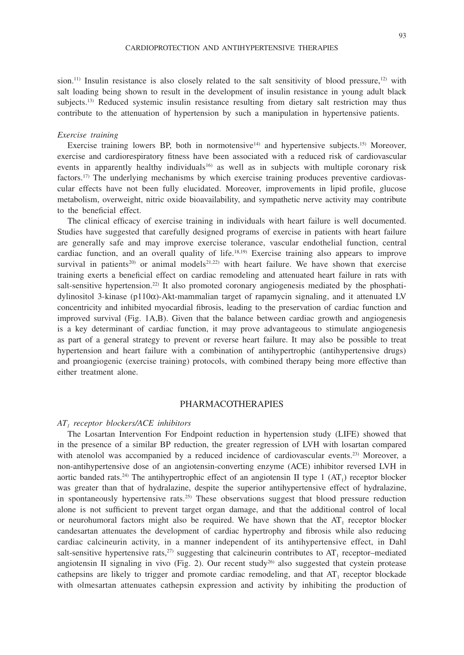sion.<sup>11)</sup> Insulin resistance is also closely related to the salt sensitivity of blood pressure,<sup>12)</sup> with salt loading being shown to result in the development of insulin resistance in young adult black subjects.<sup>13)</sup> Reduced systemic insulin resistance resulting from dietary salt restriction may thus contribute to the attenuation of hypertension by such a manipulation in hypertensive patients.

#### *Exercise training*

Exercise training lowers BP, both in normotensive<sup>14)</sup> and hypertensive subjects.<sup>15)</sup> Moreover, exercise and cardiorespiratory fitness have been associated with a reduced risk of cardiovascular events in apparently healthy individuals<sup>16</sup> as well as in subjects with multiple coronary risk factors.<sup>17)</sup> The underlying mechanisms by which exercise training produces preventive cardiovascular effects have not been fully elucidated. Moreover, improvements in lipid profile, glucose metabolism, overweight, nitric oxide bioavailability, and sympathetic nerve activity may contribute to the beneficial effect.

The clinical efficacy of exercise training in individuals with heart failure is well documented. Studies have suggested that carefully designed programs of exercise in patients with heart failure are generally safe and may improve exercise tolerance, vascular endothelial function, central cardiac function, and an overall quality of life.18,19) Exercise training also appears to improve survival in patients<sup>20)</sup> or animal models<sup>21,22)</sup> with heart failure. We have shown that exercise training exerts a beneficial effect on cardiac remodeling and attenuated heart failure in rats with salt-sensitive hypertension.<sup>22)</sup> It also promoted coronary angiogenesis mediated by the phosphatidylinositol 3-kinase ( $p110\alpha$ )-Akt-mammalian target of rapamycin signaling, and it attenuated LV concentricity and inhibited myocardial fibrosis, leading to the preservation of cardiac function and improved survival (Fig. 1A,B). Given that the balance between cardiac growth and angiogenesis is a key determinant of cardiac function, it may prove advantageous to stimulate angiogenesis as part of a general strategy to prevent or reverse heart failure. It may also be possible to treat hypertension and heart failure with a combination of antihypertrophic (antihypertensive drugs) and proangiogenic (exercise training) protocols, with combined therapy being more effective than either treatment alone.

#### **PHARMACOTHERAPIES**

#### *AT1 receptor blockers/ACE inhibitors*

The Losartan Intervention For Endpoint reduction in hypertension study (LIFE) showed that in the presence of a similar BP reduction, the greater regression of LVH with losartan compared with atenolol was accompanied by a reduced incidence of cardiovascular events.<sup>23)</sup> Moreover, a non-antihypertensive dose of an angiotensin-converting enzyme (ACE) inhibitor reversed LVH in aortic banded rats.<sup>24)</sup> The antihypertrophic effect of an angiotensin II type 1  $(AT_1)$  receptor blocker was greater than that of hydralazine, despite the superior antihypertensive effect of hydralazine, in spontaneously hypertensive rats.25) These observations suggest that blood pressure reduction alone is not sufficient to prevent target organ damage, and that the additional control of local or neurohumoral factors might also be required. We have shown that the  $AT<sub>1</sub>$  receptor blocker candesartan attenuates the development of cardiac hypertrophy and fibrosis while also reducing cardiac calcineurin activity, in a manner independent of its antihypertensive effect, in Dahl salt-sensitive hypertensive rats,<sup>27)</sup> suggesting that calcineurin contributes to  $AT_1$  receptor–mediated angiotensin II signaling in vivo (Fig. 2). Our recent study<sup>26)</sup> also suggested that cystein protease cathepsins are likely to trigger and promote cardiac remodeling, and that  $AT_1$  receptor blockade with olmesartan attenuates cathepsin expression and activity by inhibiting the production of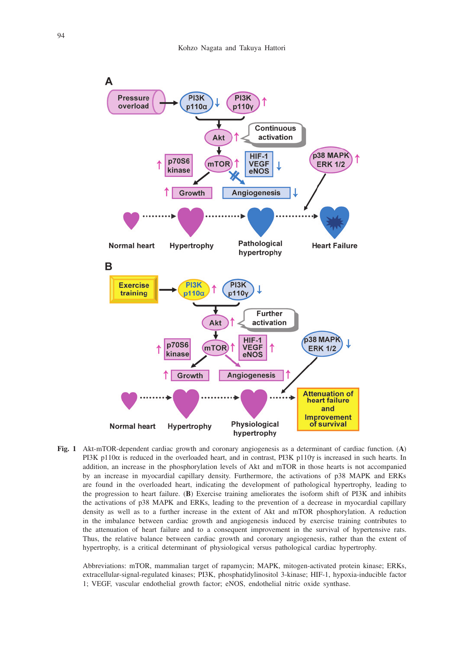

**Fig. 1** Akt-mTOR-dependent cardiac growth and coronary angiogenesis as a determinant of cardiac function. (**A**) PI3K p110 $\alpha$  is reduced in the overloaded heart, and in contrast, PI3K p110 $\gamma$  is increased in such hearts. In addition, an increase in the phosphorylation levels of Akt and mTOR in those hearts is not accompanied by an increase in myocardial capillary density. Furthermore, the activations of p38 MAPK and ERKs are found in the overloaded heart, indicating the development of pathological hypertrophy, leading to the progression to heart failure. (**B**) Exercise training ameliorates the isoform shift of PI3K and inhibits the activations of p38 MAPK and ERKs, leading to the prevention of a decrease in myocardial capillary density as well as to a further increase in the extent of Akt and mTOR phosphorylation. A reduction in the imbalance between cardiac growth and angiogenesis induced by exercise training contributes to the attenuation of heart failure and to a consequent improvement in the survival of hypertensive rats. Thus, the relative balance between cardiac growth and coronary angiogenesis, rather than the extent of hypertrophy, is a critical determinant of physiological versus pathological cardiac hypertrophy.

 Abbreviations: mTOR, mammalian target of rapamycin; MAPK, mitogen-activated protein kinase; ERKs, extracellular-signal-regulated kinases; PI3K, phosphatidylinositol 3-kinase; HIF-1, hypoxia-inducible factor 1; VEGF, vascular endothelial growth factor; eNOS, endothelial nitric oxide synthase.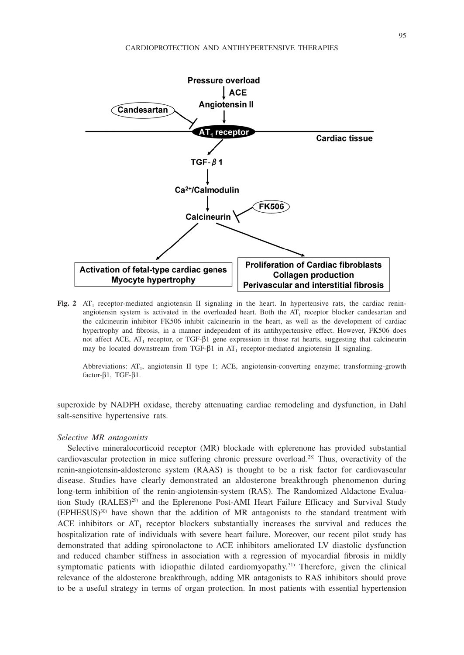

**Fig. 2**  $AT_1$  receptor-mediated angiotensin II signaling in the heart. In hypertensive rats, the cardiac reninangiotensin system is activated in the overloaded heart. Both the  $AT<sub>1</sub>$  receptor blocker candesartan and the calcineurin inhibitor FK506 inhibit calcineurin in the heart, as well as the development of cardiac hypertrophy and fibrosis, in a manner independent of its antihypertensive effect. However, FK506 does not affect ACE,  $AT_1$  receptor, or TGF- $\beta$ 1 gene expression in those rat hearts, suggesting that calcineurin may be located downstream from TGF- $\beta$ 1 in AT<sub>1</sub> receptor-mediated angiotensin II signaling.

Abbreviations: AT<sub>1</sub>, angiotensin II type 1; ACE, angiotensin-converting enzyme; transforming-growth factor- $\beta$ 1, TGF- $\beta$ 1.

superoxide by NADPH oxidase, thereby attenuating cardiac remodeling and dysfunction, in Dahl salt-sensitive hypertensive rats.

## *Selective MR antagonists*

Selective mineralocorticoid receptor (MR) blockade with eplerenone has provided substantial cardiovascular protection in mice suffering chronic pressure overload.28) Thus, overactivity of the renin-angiotensin-aldosterone system (RAAS) is thought to be a risk factor for cardiovascular disease. Studies have clearly demonstrated an aldosterone breakthrough phenomenon during long-term inhibition of the renin-angiotensin-system (RAS). The Randomized Aldactone Evaluation Study  $(RALES)^{29}$  and the Eplerenone Post-AMI Heart Failure Efficacy and Survival Study  $(EPHESUS)^{30}$  have shown that the addition of MR antagonists to the standard treatment with ACE inhibitors or  $AT<sub>1</sub>$  receptor blockers substantially increases the survival and reduces the hospitalization rate of individuals with severe heart failure. Moreover, our recent pilot study has demonstrated that adding spironolactone to ACE inhibitors ameliorated LV diastolic dysfunction and reduced chamber stiffness in association with a regression of myocardial fibrosis in mildly symptomatic patients with idiopathic dilated cardiomyopathy.<sup>31)</sup> Therefore, given the clinical relevance of the aldosterone breakthrough, adding MR antagonists to RAS inhibitors should prove to be a useful strategy in terms of organ protection. In most patients with essential hypertension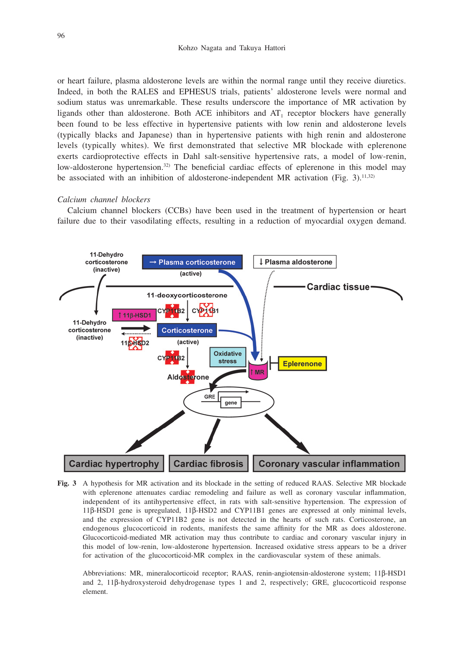or heart failure, plasma aldosterone levels are within the normal range until they receive diuretics. Indeed, in both the RALES and EPHESUS trials, patients' aldosterone levels were normal and sodium status was unremarkable. These results underscore the importance of MR activation by ligands other than aldosterone. Both ACE inhibitors and  $AT<sub>1</sub>$  receptor blockers have generally been found to be less effective in hypertensive patients with low renin and aldosterone levels (typically blacks and Japanese) than in hypertensive patients with high renin and aldosterone levels (typically whites). We first demonstrated that selective MR blockade with eplerenone exerts cardioprotective effects in Dahl salt-sensitive hypertensive rats, a model of low-renin, low-aldosterone hypertension.<sup>32)</sup> The beneficial cardiac effects of eplerenone in this model may be associated with an inhibition of aldosterone-independent MR activation (Fig. 3).<sup>11,32</sup>

## *Calcium channel blockers*

Calcium channel blockers (CCBs) have been used in the treatment of hypertension or heart failure due to their vasodilating effects, resulting in a reduction of myocardial oxygen demand.



**Fig. 3** A hypothesis for MR activation and its blockade in the setting of reduced RAAS. Selective MR blockade with eplerenone attenuates cardiac remodeling and failure as well as coronary vascular inflammation, independent of its antihypertensive effect, in rats with salt-sensitive hypertension. The expression of 11b-HSD1 gene is upregulated, 11b-HSD2 and CYP11B1 genes are expressed at only minimal levels, and the expression of CYP11B2 gene is not detected in the hearts of such rats. Corticosterone, an endogenous glucocorticoid in rodents, manifests the same affinity for the MR as does aldosterone. Glucocorticoid-mediated MR activation may thus contribute to cardiac and coronary vascular injury in this model of low-renin, low-aldosterone hypertension. Increased oxidative stress appears to be a driver for activation of the glucocorticoid-MR complex in the cardiovascular system of these animals.

 Abbreviations: MR, mineralocorticoid receptor; RAAS, renin-angiotensin-aldosterone system; 11b-HSD1 and 2, 11 $\beta$ -hydroxysteroid dehydrogenase types 1 and 2, respectively; GRE, glucocorticoid response element.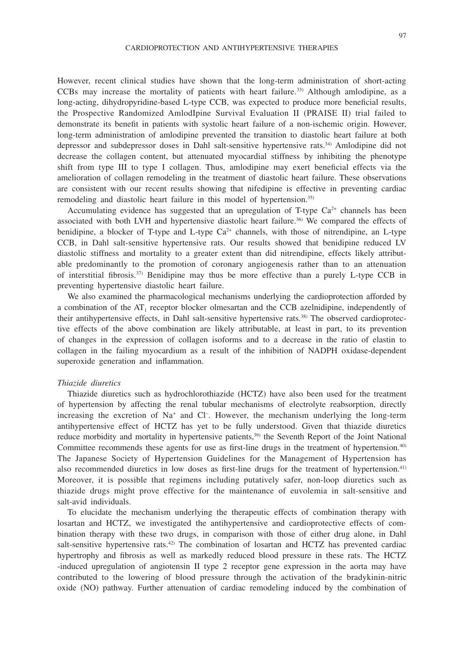However, recent clinical studies have shown that the long-term administration of short-acting CCBs may increase the mortality of patients with heart failure.<sup>33)</sup> Although amlodipine, as a long-acting, dihydropyridine-based L-type CCB, was expected to produce more beneficial results, the Prospective Randomized AmlodIpine Survival Evaluation II (PRAISE II) trial failed to demonstrate its benefit in patients with systolic heart failure of a non-ischemic origin. However, long-term administration of amlodipine prevented the transition to diastolic heart failure at both depressor and subdepressor doses in Dahl salt-sensitive hypertensive rats.34) Amlodipine did not decrease the collagen content, but attenuated myocardial stiffness by inhibiting the phenotype shift from type III to type I collagen. Thus, amlodipine may exert beneficial effects via the amelioration of collagen remodeling in the treatment of diastolic heart failure. These observations are consistent with our recent results showing that nifedipine is effective in preventing cardiac remodeling and diastolic heart failure in this model of hypertension.<sup>35)</sup>

Accumulating evidence has suggested that an upregulation of T-type  $Ca<sup>2+</sup>$  channels has been associated with both LVH and hypertensive diastolic heart failure.36) We compared the effects of benidipine, a blocker of T-type and L-type  $Ca^{2+}$  channels, with those of nitrendipine, an L-type CCB, in Dahl salt-sensitive hypertensive rats. Our results showed that benidipine reduced LV diastolic stiffness and mortality to a greater extent than did nitrendipine, effects likely attributable predominantly to the promotion of coronary angiogenesis rather than to an attenuation of interstitial fibrosis.37) Benidipine may thus be more effective than a purely L-type CCB in preventing hypertensive diastolic heart failure.

We also examined the pharmacological mechanisms underlying the cardioprotection afforded by a combination of the AT<sub>1</sub> receptor blocker olmesartan and the CCB azelnidipine, independently of their antihypertensive effects, in Dahl salt-sensitive hypertensive rats.38) The observed cardioprotective effects of the above combination are likely attributable, at least in part, to its prevention of changes in the expression of collagen isoforms and to a decrease in the ratio of elastin to collagen in the failing myocardium as a result of the inhibition of NADPH oxidase-dependent superoxide generation and inflammation.

#### *Thiazide diuretics*

Thiazide diuretics such as hydrochlorothiazide (HCTZ) have also been used for the treatment of hypertension by affecting the renal tubular mechanisms of electrolyte reabsorption, directly increasing the excretion of Na+ and Cl– . However, the mechanism underlying the long-term antihypertensive effect of HCTZ has yet to be fully understood. Given that thiazide diuretics reduce morbidity and mortality in hypertensive patients,<sup>39)</sup> the Seventh Report of the Joint National Committee recommends these agents for use as first-line drugs in the treatment of hypertension.40) The Japanese Society of Hypertension Guidelines for the Management of Hypertension has also recommended diuretics in low doses as first-line drugs for the treatment of hypertension.<sup>41)</sup> Moreover, it is possible that regimens including putatively safer, non-loop diuretics such as thiazide drugs might prove effective for the maintenance of euvolemia in salt-sensitive and salt-avid individuals.

To elucidate the mechanism underlying the therapeutic effects of combination therapy with losartan and HCTZ, we investigated the antihypertensive and cardioprotective effects of combination therapy with these two drugs, in comparison with those of either drug alone, in Dahl salt-sensitive hypertensive rats.42) The combination of losartan and HCTZ has prevented cardiac hypertrophy and fibrosis as well as markedly reduced blood pressure in these rats. The HCTZ -induced upregulation of angiotensin II type 2 receptor gene expression in the aorta may have contributed to the lowering of blood pressure through the activation of the bradykinin-nitric oxide (NO) pathway. Further attenuation of cardiac remodeling induced by the combination of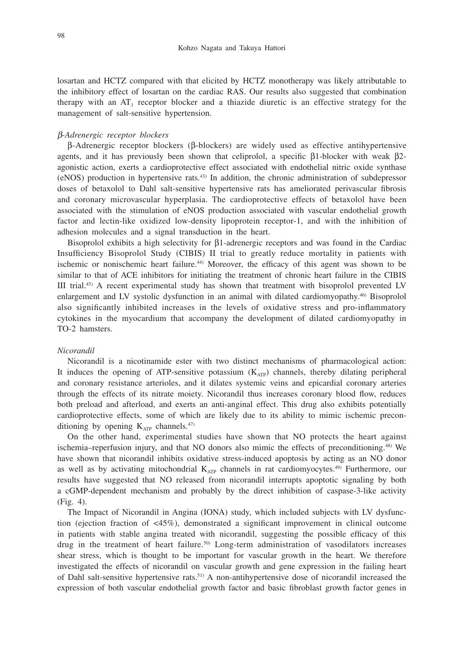losartan and HCTZ compared with that elicited by HCTZ monotherapy was likely attributable to the inhibitory effect of losartan on the cardiac RAS. Our results also suggested that combination therapy with an  $AT_1$  receptor blocker and a thiazide diuretic is an effective strategy for the management of salt-sensitive hypertension.

#### b*-Adrenergic receptor blockers*

 $\beta$ -Adrenergic receptor blockers ( $\beta$ -blockers) are widely used as effective antihypertensive agents, and it has previously been shown that celiprolol, a specific  $\beta$ 1-blocker with weak  $\beta$ 2agonistic action, exerts a cardioprotective effect associated with endothelial nitric oxide synthase (eNOS) production in hypertensive rats.43) In addition, the chronic administration of subdepressor doses of betaxolol to Dahl salt-sensitive hypertensive rats has ameliorated perivascular fibrosis and coronary microvascular hyperplasia. The cardioprotective effects of betaxolol have been associated with the stimulation of eNOS production associated with vascular endothelial growth factor and lectin-like oxidized low-density lipoprotein receptor-1, and with the inhibition of adhesion molecules and a signal transduction in the heart.

Bisoprolol exhibits a high selectivity for  $\beta$ 1-adrenergic receptors and was found in the Cardiac Insufficiency Bisoprolol Study (CIBIS) II trial to greatly reduce mortality in patients with ischemic or nonischemic heart failure.<sup>44)</sup> Moreover, the efficacy of this agent was shown to be similar to that of ACE inhibitors for initiating the treatment of chronic heart failure in the CIBIS III trial.45) A recent experimental study has shown that treatment with bisoprolol prevented LV enlargement and LV systolic dysfunction in an animal with dilated cardiomyopathy.46) Bisoprolol also significantly inhibited increases in the levels of oxidative stress and pro-inflammatory cytokines in the myocardium that accompany the development of dilated cardiomyopathy in TO-2 hamsters.

#### *Nicorandil*

Nicorandil is a nicotinamide ester with two distinct mechanisms of pharmacological action: It induces the opening of ATP-sensitive potassium  $(K_{\text{ATP}})$  channels, thereby dilating peripheral and coronary resistance arterioles, and it dilates systemic veins and epicardial coronary arteries through the effects of its nitrate moiety. Nicorandil thus increases coronary blood flow, reduces both preload and afterload, and exerts an anti-anginal effect. This drug also exhibits potentially cardioprotective effects, some of which are likely due to its ability to mimic ischemic preconditioning by opening  $K_{ATP}$  channels.<sup>47)</sup>

On the other hand, experimental studies have shown that NO protects the heart against ischemia–reperfusion injury, and that NO donors also mimic the effects of preconditioning.48) We have shown that nicorandil inhibits oxidative stress-induced apoptosis by acting as an NO donor as well as by activating mitochondrial  $K_{ATP}$  channels in rat cardiomyocytes.<sup>49)</sup> Furthermore, our results have suggested that NO released from nicorandil interrupts apoptotic signaling by both a cGMP-dependent mechanism and probably by the direct inhibition of caspase-3-like activity (Fig. 4).

The Impact of Nicorandil in Angina (IONA) study, which included subjects with LV dysfunction (ejection fraction of <45%), demonstrated a significant improvement in clinical outcome in patients with stable angina treated with nicorandil, suggesting the possible efficacy of this drug in the treatment of heart failure.<sup>50)</sup> Long-term administration of vasodilators increases shear stress, which is thought to be important for vascular growth in the heart. We therefore investigated the effects of nicorandil on vascular growth and gene expression in the failing heart of Dahl salt-sensitive hypertensive rats.51) A non-antihypertensive dose of nicorandil increased the expression of both vascular endothelial growth factor and basic fibroblast growth factor genes in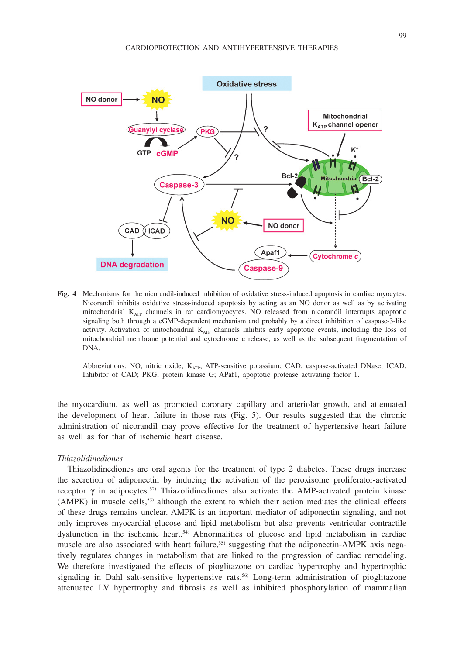

**Fig. 4** Mechanisms for the nicorandil-induced inhibition of oxidative stress-induced apoptosis in cardiac myocytes. Nicorandil inhibits oxidative stress-induced apoptosis by acting as an NO donor as well as by activating mitochondrial  $K_{ATP}$  channels in rat cardiomyocytes. NO released from nicorandil interrupts apoptotic signaling both through a cGMP-dependent mechanism and probably by a direct inhibition of caspase-3-like activity. Activation of mitochondrial K<sub>ATP</sub> channels inhibits early apoptotic events, including the loss of mitochondrial membrane potential and cytochrome c release, as well as the subsequent fragmentation of DNA.

 Abbreviations: NO, nitric oxide; KATP, ATP-sensitive potassium; CAD, caspase-activated DNase; ICAD, Inhibitor of CAD; PKG; protein kinase G; APaf1, apoptotic protease activating factor 1.

the myocardium, as well as promoted coronary capillary and arteriolar growth, and attenuated the development of heart failure in those rats (Fig. 5). Our results suggested that the chronic administration of nicorandil may prove effective for the treatment of hypertensive heart failure as well as for that of ischemic heart disease.

#### *Thiazolidinediones*

Thiazolidinediones are oral agents for the treatment of type 2 diabetes. These drugs increase the secretion of adiponectin by inducing the activation of the peroxisome proliferator-activated receptor  $\gamma$  in adipocytes.<sup>52)</sup> Thiazolidinediones also activate the AMP-activated protein kinase (AMPK) in muscle cells,53) although the extent to which their action mediates the clinical effects of these drugs remains unclear. AMPK is an important mediator of adiponectin signaling, and not only improves myocardial glucose and lipid metabolism but also prevents ventricular contractile dysfunction in the ischemic heart.54) Abnormalities of glucose and lipid metabolism in cardiac muscle are also associated with heart failure,<sup>55)</sup> suggesting that the adiponectin-AMPK axis negatively regulates changes in metabolism that are linked to the progression of cardiac remodeling. We therefore investigated the effects of pioglitazone on cardiac hypertrophy and hypertrophic signaling in Dahl salt-sensitive hypertensive rats.<sup>56)</sup> Long-term administration of pioglitazone attenuated LV hypertrophy and fibrosis as well as inhibited phosphorylation of mammalian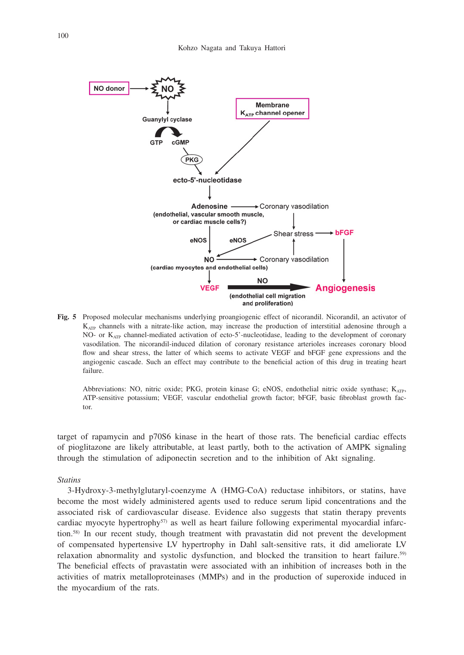

**Fig. 5** Proposed molecular mechanisms underlying proangiogenic effect of nicorandil. Nicorandil, an activator of  $K_{ATP}$  channels with a nitrate-like action, may increase the production of interstitial adenosine through a NO- or  $K_{ATP}$  channel-mediated activation of ecto-5'-nucleotidase, leading to the development of coronary vasodilation. The nicorandil-induced dilation of coronary resistance arterioles increases coronary blood flow and shear stress, the latter of which seems to activate VEGF and bFGF gene expressions and the angiogenic cascade. Such an effect may contribute to the beneficial action of this drug in treating heart failure.

Abbreviations: NO, nitric oxide; PKG, protein kinase G; eNOS, endothelial nitric oxide synthase; K<sub>ATP</sub>, ATP-sensitive potassium; VEGF, vascular endothelial growth factor; bFGF, basic fibroblast growth factor.

target of rapamycin and p70S6 kinase in the heart of those rats. The beneficial cardiac effects of pioglitazone are likely attributable, at least partly, both to the activation of AMPK signaling through the stimulation of adiponectin secretion and to the inhibition of Akt signaling.

#### *Statins*

3-Hydroxy-3-methylglutaryl-coenzyme A (HMG-CoA) reductase inhibitors, or statins, have become the most widely administered agents used to reduce serum lipid concentrations and the associated risk of cardiovascular disease. Evidence also suggests that statin therapy prevents cardiac myocyte hypertrophy<sup>57)</sup> as well as heart failure following experimental myocardial infarction.58) In our recent study, though treatment with pravastatin did not prevent the development of compensated hypertensive LV hypertrophy in Dahl salt-sensitive rats, it did ameliorate LV relaxation abnormality and systolic dysfunction, and blocked the transition to heart failure.<sup>59)</sup> The beneficial effects of pravastatin were associated with an inhibition of increases both in the activities of matrix metalloproteinases (MMPs) and in the production of superoxide induced in the myocardium of the rats.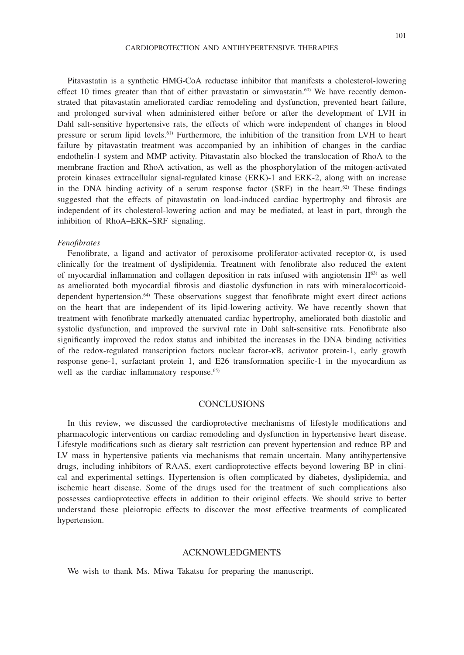#### CARDIOPROTECTION AND ANTIHYPERTENSIVE THERAPIES

Pitavastatin is a synthetic HMG-CoA reductase inhibitor that manifests a cholesterol-lowering effect 10 times greater than that of either pravastatin or simvastatin. $60$  We have recently demonstrated that pitavastatin ameliorated cardiac remodeling and dysfunction, prevented heart failure, and prolonged survival when administered either before or after the development of LVH in Dahl salt-sensitive hypertensive rats, the effects of which were independent of changes in blood pressure or serum lipid levels.61) Furthermore, the inhibition of the transition from LVH to heart failure by pitavastatin treatment was accompanied by an inhibition of changes in the cardiac endothelin-1 system and MMP activity. Pitavastatin also blocked the translocation of RhoA to the membrane fraction and RhoA activation, as well as the phosphorylation of the mitogen-activated protein kinases extracellular signal-regulated kinase (ERK)-1 and ERK-2, along with an increase in the DNA binding activity of a serum response factor  $(SRF)$  in the heart.<sup>62)</sup> These findings suggested that the effects of pitavastatin on load-induced cardiac hypertrophy and fibrosis are independent of its cholesterol-lowering action and may be mediated, at least in part, through the inhibition of RhoA–ERK–SRF signaling.

#### *Fenofibrates*

Fenofibrate, a ligand and activator of peroxisome proliferator-activated receptor- $\alpha$ , is used clinically for the treatment of dyslipidemia. Treatment with fenofibrate also reduced the extent of myocardial inflammation and collagen deposition in rats infused with angiotensin  $II^{63}$  as well as ameliorated both myocardial fibrosis and diastolic dysfunction in rats with mineralocorticoiddependent hypertension.64) These observations suggest that fenofibrate might exert direct actions on the heart that are independent of its lipid-lowering activity. We have recently shown that treatment with fenofibrate markedly attenuated cardiac hypertrophy, ameliorated both diastolic and systolic dysfunction, and improved the survival rate in Dahl salt-sensitive rats. Fenofibrate also significantly improved the redox status and inhibited the increases in the DNA binding activities of the redox-regulated transcription factors nuclear factor-kB, activator protein-1, early growth response gene-1, surfactant protein 1, and E26 transformation specific-1 in the myocardium as well as the cardiac inflammatory response.<sup>65)</sup>

## **CONCLUSIONS**

In this review, we discussed the cardioprotective mechanisms of lifestyle modifications and pharmacologic interventions on cardiac remodeling and dysfunction in hypertensive heart disease. Lifestyle modifications such as dietary salt restriction can prevent hypertension and reduce BP and LV mass in hypertensive patients via mechanisms that remain uncertain. Many antihypertensive drugs, including inhibitors of RAAS, exert cardioprotective effects beyond lowering BP in clinical and experimental settings. Hypertension is often complicated by diabetes, dyslipidemia, and ischemic heart disease. Some of the drugs used for the treatment of such complications also possesses cardioprotective effects in addition to their original effects. We should strive to better understand these pleiotropic effects to discover the most effective treatments of complicated hypertension.

#### ACKNOWLEDGMENTS

We wish to thank Ms. Miwa Takatsu for preparing the manuscript.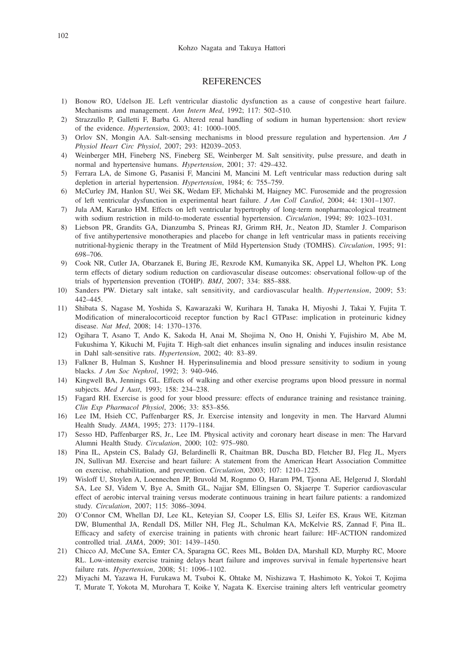## **REFERENCES**

- 1) Bonow RO, Udelson JE. Left ventricular diastolic dysfunction as a cause of congestive heart failure. Mechanisms and management. *Ann Intern Med*, 1992; 117: 502–510.
- 2) Strazzullo P, Galletti F, Barba G. Altered renal handling of sodium in human hypertension: short review of the evidence. *Hypertension*, 2003; 41: 1000–1005.
- 3) Orlov SN, Mongin AA. Salt-sensing mechanisms in blood pressure regulation and hypertension. *Am J Physiol Heart Circ Physiol*, 2007; 293: H2039–2053.
- 4) Weinberger MH, Fineberg NS, Fineberg SE, Weinberger M. Salt sensitivity, pulse pressure, and death in normal and hypertensive humans. *Hypertension*, 2001; 37: 429–432.
- 5) Ferrara LA, de Simone G, Pasanisi F, Mancini M, Mancini M. Left ventricular mass reduction during salt depletion in arterial hypertension. *Hypertension*, 1984; 6: 755–759.
- 6) McCurley JM, Hanlon SU, Wei SK, Wedam EF, Michalski M, Haigney MC. Furosemide and the progression of left ventricular dysfunction in experimental heart failure. *J Am Coll Cardiol*, 2004; 44: 1301–1307.
- 7) Jula AM, Karanko HM. Effects on left ventricular hypertrophy of long-term nonpharmacological treatment with sodium restriction in mild-to-moderate essential hypertension. *Circulation*, 1994; 89: 1023–1031.
- 8) Liebson PR, Grandits GA, Dianzumba S, Prineas RJ, Grimm RH, Jr., Neaton JD, Stamler J. Comparison of five antihypertensive monotherapies and placebo for change in left ventricular mass in patients receiving nutritional-hygienic therapy in the Treatment of Mild Hypertension Study (TOMHS). *Circulation*, 1995; 91: 698–706.
- 9) Cook NR, Cutler JA, Obarzanek E, Buring JE, Rexrode KM, Kumanyika SK, Appel LJ, Whelton PK. Long term effects of dietary sodium reduction on cardiovascular disease outcomes: observational follow-up of the trials of hypertension prevention (TOHP). *BMJ*, 2007; 334: 885–888.
- 10) Sanders PW. Dietary salt intake, salt sensitivity, and cardiovascular health. *Hypertension*, 2009; 53: 442–445.
- 11) Shibata S, Nagase M, Yoshida S, Kawarazaki W, Kurihara H, Tanaka H, Miyoshi J, Takai Y, Fujita T. Modification of mineralocorticoid receptor function by Rac1 GTPase: implication in proteinuric kidney disease. *Nat Med*, 2008; 14: 1370–1376.
- 12) Ogihara T, Asano T, Ando K, Sakoda H, Anai M, Shojima N, Ono H, Onishi Y, Fujishiro M, Abe M, Fukushima Y, Kikuchi M, Fujita T. High-salt diet enhances insulin signaling and induces insulin resistance in Dahl salt-sensitive rats. *Hypertension*, 2002; 40: 83–89.
- 13) Falkner B, Hulman S, Kushner H. Hyperinsulinemia and blood pressure sensitivity to sodium in young blacks. *J Am Soc Nephrol*, 1992; 3: 940–946.
- 14) Kingwell BA, Jennings GL. Effects of walking and other exercise programs upon blood pressure in normal subjects. *Med J Aust*, 1993; 158: 234–238.
- 15) Fagard RH. Exercise is good for your blood pressure: effects of endurance training and resistance training. *Clin Exp Pharmacol Physiol*, 2006; 33: 853–856.
- 16) Lee IM, Hsieh CC, Paffenbarger RS, Jr. Exercise intensity and longevity in men. The Harvard Alumni Health Study. *JAMA*, 1995; 273: 1179–1184.
- 17) Sesso HD, Paffenbarger RS, Jr., Lee IM. Physical activity and coronary heart disease in men: The Harvard Alumni Health Study. *Circulation*, 2000; 102: 975–980.
- 18) Pina IL, Apstein CS, Balady GJ, Belardinelli R, Chaitman BR, Duscha BD, Fletcher BJ, Fleg JL, Myers JN, Sullivan MJ. Exercise and heart failure: A statement from the American Heart Association Committee on exercise, rehabilitation, and prevention. *Circulation*, 2003; 107: 1210–1225.
- 19) Wisloff U, Stoylen A, Loennechen JP, Bruvold M, Rognmo O, Haram PM, Tjonna AE, Helgerud J, Slordahl SA, Lee SJ, Videm V, Bye A, Smith GL, Najjar SM, Ellingsen O, Skjaerpe T. Superior cardiovascular effect of aerobic interval training versus moderate continuous training in heart failure patients: a randomized study. *Circulation*, 2007; 115: 3086–3094.
- 20) O'Connor CM, Whellan DJ, Lee KL, Keteyian SJ, Cooper LS, Ellis SJ, Leifer ES, Kraus WE, Kitzman DW, Blumenthal JA, Rendall DS, Miller NH, Fleg JL, Schulman KA, McKelvie RS, Zannad F, Pina IL. Efficacy and safety of exercise training in patients with chronic heart failure: HF-ACTION randomized controlled trial. *JAMA*, 2009; 301: 1439–1450.
- 21) Chicco AJ, McCune SA, Emter CA, Sparagna GC, Rees ML, Bolden DA, Marshall KD, Murphy RC, Moore RL. Low-intensity exercise training delays heart failure and improves survival in female hypertensive heart failure rats. *Hypertension*, 2008; 51: 1096–1102.
- 22) Miyachi M, Yazawa H, Furukawa M, Tsuboi K, Ohtake M, Nishizawa T, Hashimoto K, Yokoi T, Kojima T, Murate T, Yokota M, Murohara T, Koike Y, Nagata K. Exercise training alters left ventricular geometry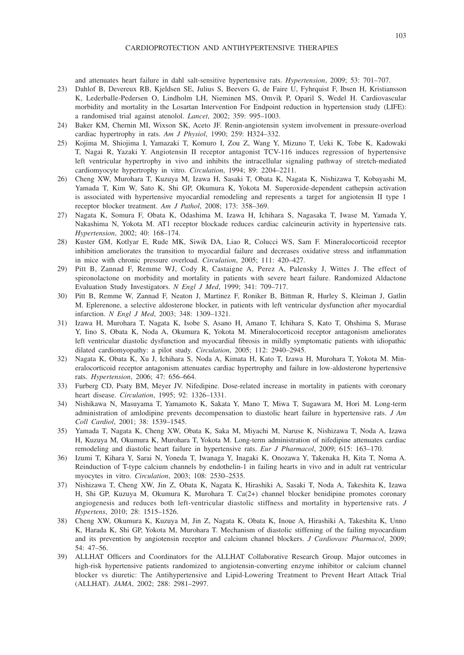and attenuates heart failure in dahl salt-sensitive hypertensive rats. *Hypertension*, 2009; 53: 701–707.

- 23) Dahlof B, Devereux RB, Kjeldsen SE, Julius S, Beevers G, de Faire U, Fyhrquist F, Ibsen H, Kristiansson K, Lederballe-Pedersen O, Lindholm LH, Nieminen MS, Omvik P, Oparil S, Wedel H. Cardiovascular morbidity and mortality in the Losartan Intervention For Endpoint reduction in hypertension study (LIFE): a randomised trial against atenolol. *Lancet*, 2002; 359: 995–1003.
- 24) Baker KM, Chernin MI, Wixson SK, Aceto JF. Renin-angiotensin system involvement in pressure-overload cardiac hypertrophy in rats. *Am J Physiol*, 1990; 259: H324–332.
- 25) Kojima M, Shiojima I, Yamazaki T, Komuro I, Zou Z, Wang Y, Mizuno T, Ueki K, Tobe K, Kadowaki T, Nagai R, Yazaki Y. Angiotensin II receptor antagonist TCV-116 induces regression of hypertensive left ventricular hypertrophy in vivo and inhibits the intracellular signaling pathway of stretch-mediated cardiomyocyte hypertrophy in vitro. *Circulation*, 1994; 89: 2204–2211.
- 26) Cheng XW, Murohara T, Kuzuya M, Izawa H, Sasaki T, Obata K, Nagata K, Nishizawa T, Kobayashi M, Yamada T, Kim W, Sato K, Shi GP, Okumura K, Yokota M. Superoxide-dependent cathepsin activation is associated with hypertensive myocardial remodeling and represents a target for angiotensin II type 1 receptor blocker treatment. *Am J Pathol*, 2008; 173: 358–369.
- 27) Nagata K, Somura F, Obata K, Odashima M, Izawa H, Ichihara S, Nagasaka T, Iwase M, Yamada Y, Nakashima N, Yokota M. AT1 receptor blockade reduces cardiac calcineurin activity in hypertensive rats. *Hypertension*, 2002; 40: 168–174.
- 28) Kuster GM, Kotlyar E, Rude MK, Siwik DA, Liao R, Colucci WS, Sam F. Mineralocorticoid receptor inhibition ameliorates the transition to myocardial failure and decreases oxidative stress and inflammation in mice with chronic pressure overload. *Circulation*, 2005; 111: 420–427.
- 29) Pitt B, Zannad F, Remme WJ, Cody R, Castaigne A, Perez A, Palensky J, Wittes J. The effect of spironolactone on morbidity and mortality in patients with severe heart failure. Randomized Aldactone Evaluation Study Investigators. *N Engl J Med*, 1999; 341: 709–717.
- 30) Pitt B, Remme W, Zannad F, Neaton J, Martinez F, Roniker B, Bittman R, Hurley S, Kleiman J, Gatlin M. Eplerenone, a selective aldosterone blocker, in patients with left ventricular dysfunction after myocardial infarction. *N Engl J Med*, 2003; 348: 1309–1321.
- 31) Izawa H, Murohara T, Nagata K, Isobe S, Asano H, Amano T, Ichihara S, Kato T, Ohshima S, Murase Y, Iino S, Obata K, Noda A, Okumura K, Yokota M. Mineralocorticoid receptor antagonism ameliorates left ventricular diastolic dysfunction and myocardial fibrosis in mildly symptomatic patients with idiopathic dilated cardiomyopathy: a pilot study. *Circulation*, 2005; 112: 2940–2945.
- 32) Nagata K, Obata K, Xu J, Ichihara S, Noda A, Kimata H, Kato T, Izawa H, Murohara T, Yokota M. Mineralocorticoid receptor antagonism attenuates cardiac hypertrophy and failure in low-aldosterone hypertensive rats. *Hypertension*, 2006; 47: 656–664.
- 33) Furberg CD, Psaty BM, Meyer JV. Nifedipine. Dose-related increase in mortality in patients with coronary heart disease. *Circulation*, 1995; 92: 1326–1331.
- 34) Nishikawa N, Masuyama T, Yamamoto K, Sakata Y, Mano T, Miwa T, Sugawara M, Hori M. Long-term administration of amlodipine prevents decompensation to diastolic heart failure in hypertensive rats. *J Am Coll Cardiol*, 2001; 38: 1539–1545.
- 35) Yamada T, Nagata K, Cheng XW, Obata K, Saka M, Miyachi M, Naruse K, Nishizawa T, Noda A, Izawa H, Kuzuya M, Okumura K, Murohara T, Yokota M. Long-term administration of nifedipine attenuates cardiac remodeling and diastolic heart failure in hypertensive rats. *Eur J Pharmacol*, 2009; 615: 163–170.
- 36) Izumi T, Kihara Y, Sarai N, Yoneda T, Iwanaga Y, Inagaki K, Onozawa Y, Takenaka H, Kita T, Noma A. Reinduction of T-type calcium channels by endothelin-1 in failing hearts in vivo and in adult rat ventricular myocytes in vitro. *Circulation*, 2003; 108: 2530–2535.
- 37) Nishizawa T, Cheng XW, Jin Z, Obata K, Nagata K, Hirashiki A, Sasaki T, Noda A, Takeshita K, Izawa H, Shi GP, Kuzuya M, Okumura K, Murohara T. Ca(2+) channel blocker benidipine promotes coronary angiogenesis and reduces both left-ventricular diastolic stiffness and mortality in hypertensive rats. *J Hypertens*, 2010; 28: 1515–1526.
- 38) Cheng XW, Okumura K, Kuzuya M, Jin Z, Nagata K, Obata K, Inoue A, Hirashiki A, Takeshita K, Unno K, Harada K, Shi GP, Yokota M, Murohara T. Mechanism of diastolic stiffening of the failing myocardium and its prevention by angiotensin receptor and calcium channel blockers. *J Cardiovasc Pharmacol*, 2009; 54: 47–56.
- 39) ALLHAT Officers and Coordinators for the ALLHAT Collaborative Research Group. Major outcomes in high-risk hypertensive patients randomized to angiotensin-converting enzyme inhibitor or calcium channel blocker vs diuretic: The Antihypertensive and Lipid-Lowering Treatment to Prevent Heart Attack Trial (ALLHAT). *JAMA*, 2002; 288: 2981–2997.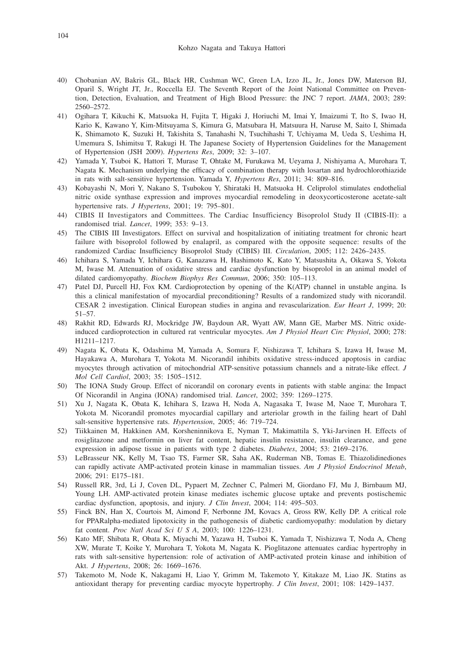- 40) Chobanian AV, Bakris GL, Black HR, Cushman WC, Green LA, Izzo JL, Jr., Jones DW, Materson BJ, Oparil S, Wright JT, Jr., Roccella EJ. The Seventh Report of the Joint National Committee on Prevention, Detection, Evaluation, and Treatment of High Blood Pressure: the JNC 7 report. *JAMA*, 2003; 289: 2560–2572.
- 41) Ogihara T, Kikuchi K, Matsuoka H, Fujita T, Higaki J, Horiuchi M, Imai Y, Imaizumi T, Ito S, Iwao H, Kario K, Kawano Y, Kim-Mitsuyama S, Kimura G, Matsubara H, Matsuura H, Naruse M, Saito I, Shimada K, Shimamoto K, Suzuki H, Takishita S, Tanahashi N, Tsuchihashi T, Uchiyama M, Ueda S, Ueshima H, Umemura S, Ishimitsu T, Rakugi H. The Japanese Society of Hypertension Guidelines for the Management of Hypertension (JSH 2009). *Hypertens Res*, 2009; 32: 3–107.
- 42) Yamada Y, Tsuboi K, Hattori T, Murase T, Ohtake M, Furukawa M, Ueyama J, Nishiyama A, Murohara T, Nagata K. Mechanism underlying the efficacy of combination therapy with losartan and hydrochlorothiazide in rats with salt-sensitive hypertension. Yamada Y, *Hypertens Res*, 2011; 34: 809–816.
- 43) Kobayashi N, Mori Y, Nakano S, Tsubokou Y, Shirataki H, Matsuoka H. Celiprolol stimulates endothelial nitric oxide synthase expression and improves myocardial remodeling in deoxycorticosterone acetate-salt hypertensive rats. *J Hypertens*, 2001; 19: 795–801.
- 44) CIBIS II Investigators and Committees. The Cardiac Insufficiency Bisoprolol Study II (CIBIS-II): a randomised trial. *Lancet*, 1999; 353: 9–13.
- 45) The CIBIS III Investigators. Effect on survival and hospitalization of initiating treatment for chronic heart failure with bisoprolol followed by enalapril, as compared with the opposite sequence: results of the randomized Cardiac Insufficiency Bisoprolol Study (CIBIS) III. *Circulation*, 2005; 112: 2426–2435.
- 46) Ichihara S, Yamada Y, Ichihara G, Kanazawa H, Hashimoto K, Kato Y, Matsushita A, Oikawa S, Yokota M, Iwase M. Attenuation of oxidative stress and cardiac dysfunction by bisoprolol in an animal model of dilated cardiomyopathy. *Biochem Biophys Res Commun*, 2006; 350: 105–113.
- 47) Patel DJ, Purcell HJ, Fox KM. Cardioprotection by opening of the K(ATP) channel in unstable angina. Is this a clinical manifestation of myocardial preconditioning? Results of a randomized study with nicorandil. CESAR 2 investigation. Clinical European studies in angina and revascularization. *Eur Heart J*, 1999; 20: 51–57.
- 48) Rakhit RD, Edwards RJ, Mockridge JW, Baydoun AR, Wyatt AW, Mann GE, Marber MS. Nitric oxideinduced cardioprotection in cultured rat ventricular myocytes. *Am J Physiol Heart Circ Physiol*, 2000; 278: H1211–1217.
- 49) Nagata K, Obata K, Odashima M, Yamada A, Somura F, Nishizawa T, Ichihara S, Izawa H, Iwase M, Hayakawa A, Murohara T, Yokota M. Nicorandil inhibits oxidative stress-induced apoptosis in cardiac myocytes through activation of mitochondrial ATP-sensitive potassium channels and a nitrate-like effect. *J Mol Cell Cardiol*, 2003; 35: 1505–1512.
- 50) The IONA Study Group. Effect of nicorandil on coronary events in patients with stable angina: the Impact Of Nicorandil in Angina (IONA) randomised trial. *Lancet*, 2002; 359: 1269–1275.
- 51) Xu J, Nagata K, Obata K, Ichihara S, Izawa H, Noda A, Nagasaka T, Iwase M, Naoe T, Murohara T, Yokota M. Nicorandil promotes myocardial capillary and arteriolar growth in the failing heart of Dahl salt-sensitive hypertensive rats. *Hypertension*, 2005; 46: 719–724.
- 52) Tiikkainen M, Hakkinen AM, Korsheninnikova E, Nyman T, Makimattila S, Yki-Jarvinen H. Effects of rosiglitazone and metformin on liver fat content, hepatic insulin resistance, insulin clearance, and gene expression in adipose tissue in patients with type 2 diabetes. *Diabetes*, 2004; 53: 2169–2176.
- 53) LeBrasseur NK, Kelly M, Tsao TS, Farmer SR, Saha AK, Ruderman NB, Tomas E. Thiazolidinediones can rapidly activate AMP-activated protein kinase in mammalian tissues. *Am J Physiol Endocrinol Metab*, 2006; 291: E175–181.
- 54) Russell RR, 3rd, Li J, Coven DL, Pypaert M, Zechner C, Palmeri M, Giordano FJ, Mu J, Birnbaum MJ, Young LH. AMP-activated protein kinase mediates ischemic glucose uptake and prevents postischemic cardiac dysfunction, apoptosis, and injury. *J Clin Invest*, 2004; 114: 495–503.
- 55) Finck BN, Han X, Courtois M, Aimond F, Nerbonne JM, Kovacs A, Gross RW, Kelly DP. A critical role for PPARalpha-mediated lipotoxicity in the pathogenesis of diabetic cardiomyopathy: modulation by dietary fat content. *Proc Natl Acad Sci U S A*, 2003; 100: 1226–1231.
- 56) Kato MF, Shibata R, Obata K, Miyachi M, Yazawa H, Tsuboi K, Yamada T, Nishizawa T, Noda A, Cheng XW, Murate T, Koike Y, Murohara T, Yokota M, Nagata K. Pioglitazone attenuates cardiac hypertrophy in rats with salt-sensitive hypertension: role of activation of AMP-activated protein kinase and inhibition of Akt. *J Hypertens*, 2008; 26: 1669–1676.
- 57) Takemoto M, Node K, Nakagami H, Liao Y, Grimm M, Takemoto Y, Kitakaze M, Liao JK. Statins as antioxidant therapy for preventing cardiac myocyte hypertrophy. *J Clin Invest*, 2001; 108: 1429–1437.